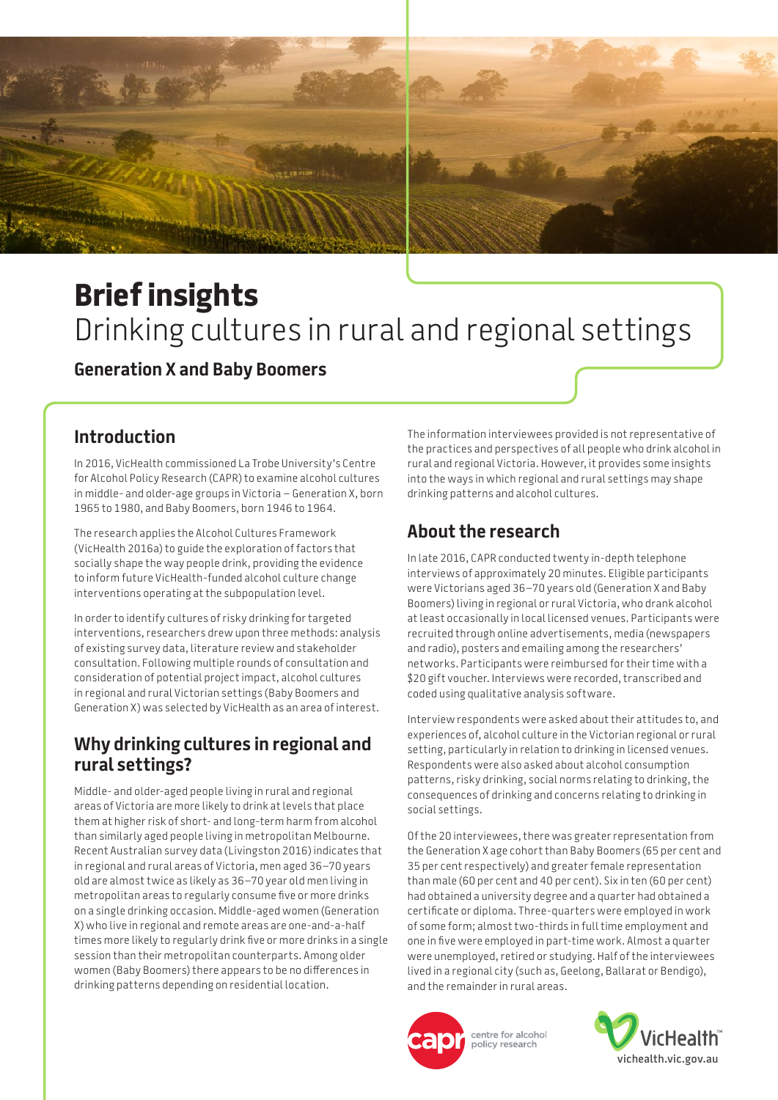



# **Brief insights**  Drinking cultures in rural and regional settings

### **Generation X and Baby Boomers**

## **Introduction**

In 2016, VicHealth commissioned La Trobe University's Centre for Alcohol Policy Research (CAPR) to examine alcohol cultures in middle- and older-age groups in Victoria – Generation X, born 1965 to 1980, and Baby Boomers, born 1946 to 1964.

The research applies the Alcohol Cultures Framework (VicHealth 2016a) to guide the exploration of factors that socially shape the way people drink, providing the evidence to inform future VicHealth-funded alcohol culture change interventions operating at the subpopulation level.

In order to identify cultures of risky drinking for targeted interventions, researchers drew upon three methods: analysis of existing survey data, literature review and stakeholder consultation. Following multiple rounds of consultation and consideration of potential project impact, alcohol cultures in regional and rural Victorian settings (Baby Boomers and Generation X) was selected by VicHealth as an area of interest.

## **Why drinking cultures in regional and rural settings?**

Middle- and older-aged people living in rural and regional areas of Victoria are more likely to drink at levels that place them at higher risk of short- and long-term harm from alcohol than similarly aged people living in metropolitan Melbourne. Recent Australian survey data (Livingston 2016) indicates that in regional and rural areas of Victoria, men aged 36–70 years old are almost twice as likely as 36–70 year old men living in metropolitan areas to regularly consume five or more drinks on a single drinking occasion. Middle-aged women (Generation X) who live in regional and remote areas are one-and-a-half times more likely to regularly drink five or more drinks in a single session than their metropolitan counterparts. Among older women (Baby Boomers) there appears to be no differences in drinking patterns depending on residential location.

The information interviewees provided is not representative of the practices and perspectives of all people who drink alcohol in rural and regional Victoria. However, it provides some insights into the ways in which regional and rural settings may shape drinking patterns and alcohol cultures.

# **About the research**

In late 2016, CAPR conducted twenty in-depth telephone interviews of approximately 20 minutes. Eligible participants were Victorians aged 36–70 years old (Generation X and Baby Boomers) living in regional or rural Victoria, who drank alcohol at least occasionally in local licensed venues. Participants were recruited through online advertisements, media (newspapers and radio), posters and emailing among the researchers' networks. Participants were reimbursed for their time with a \$20 gift voucher. Interviews were recorded, transcribed and coded using qualitative analysis software.

Interview respondents were asked about their attitudes to, and experiences of, alcohol culture in the Victorian regional or rural setting, particularly in relation to drinking in licensed venues. Respondents were also asked about alcohol consumption patterns, risky drinking, social norms relating to drinking, the consequences of drinking and concerns relating to drinking in social settings.

Of the 20 interviewees, there was greater representation from the Generation X age cohort than Baby Boomers (65 per cent and 35 per cent respectively) and greater female representation than male (60 per cent and 40 per cent). Six in ten (60 per cent) had obtained a university degree and a quarter had obtained a certificate or diploma. Three-quarters were employed in work of some form; almost two-thirds in full time employment and one in five were employed in part-time work. Almost a quarter were unemployed, retired or studying. Half of the interviewees lived in a regional city (such as, Geelong, Ballarat or Bendigo), and the remainder in rural areas.



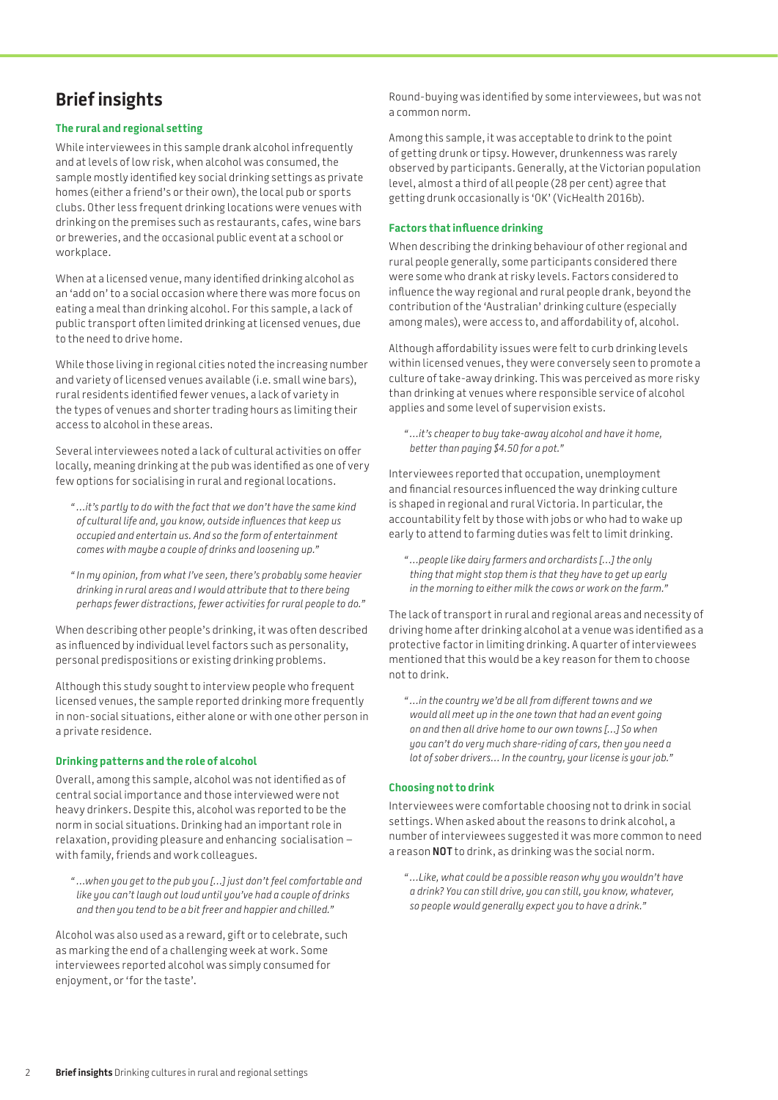## **Brief insights**

### **The rural and regional setting**

While interviewees in this sample drank alcohol infrequently and at levels of low risk, when alcohol was consumed, the sample mostly identified key social drinking settings as private homes (either a friend's or their own), the local pub or sports clubs. Other less frequent drinking locations were venues with drinking on the premises such as restaurants, cafes, wine bars or breweries, and the occasional public event at a school or workplace.

When at a licensed venue, many identified drinking alcohol as an 'add on' to a social occasion where there was more focus on eating a meal than drinking alcohol. For this sample, a lack of public transport often limited drinking at licensed venues, due to the need to drive home.

While those living in regional cities noted the increasing number and variety of licensed venues available (i.e. small wine bars), rural residents identified fewer venues, a lack of variety in the types of venues and shorter trading hours as limiting their access to alcohol in these areas.

Several interviewees noted a lack of cultural activities on offer locally, meaning drinking at the pub was identified as one of very few options for socialising in rural and regional locations.

- *" …it's partly to do with the fact that we don't have the same kind of cultural life and, you know, outside influences that keep us occupied and entertain us. And so the form of entertainment comes with maybe a couple of drinks and loosening up."*
- *" In my opinion, from what I've seen, there's probably some heavier drinking in rural areas and I would attribute that to there being perhaps fewer distractions, fewer activities for rural people to do."*

When describing other people's drinking, it was often described as influenced by individual level factors such as personality, personal predispositions or existing drinking problems.

Although this study sought to interview people who frequent licensed venues, the sample reported drinking more frequently in non-social situations, either alone or with one other person in a private residence.

#### **Drinking patterns and the role of alcohol**

Overall, among this sample, alcohol was not identified as of central social importance and those interviewed were not heavy drinkers. Despite this, alcohol was reported to be the norm in social situations. Drinking had an important role in relaxation, providing pleasure and enhancing socialisation – with family, friends and work colleagues.

*" …when you get to the pub you […] just don't feel comfortable and like you can't laugh out loud until you've had a couple of drinks and then you tend to be a bit freer and happier and chilled."*

Alcohol was also used as a reward, gift or to celebrate, such as marking the end of a challenging week at work. Some interviewees reported alcohol was simply consumed for enjoyment, or 'for the taste'.

Round-buying was identified by some interviewees, but was not a common norm.

Among this sample, it was acceptable to drink to the point of getting drunk or tipsy. However, drunkenness was rarely observed by participants. Generally, at the Victorian population level, almost a third of all people (28 per cent) agree that getting drunk occasionally is 'OK' (VicHealth 2016b).

#### **Factors that influence drinking**

When describing the drinking behaviour of other regional and rural people generally, some participants considered there were some who drank at risky levels. Factors considered to influence the way regional and rural people drank, beyond the contribution of the 'Australian' drinking culture (especially among males), were access to, and affordability of, alcohol.

Although affordability issues were felt to curb drinking levels within licensed venues, they were conversely seen to promote a culture of take-away drinking. This was perceived as more risky than drinking at venues where responsible service of alcohol applies and some level of supervision exists.

*" …it's cheaper to buy take-away alcohol and have it home, better than paying \$4.50 for a pot."*

Interviewees reported that occupation, unemployment and financial resources influenced the way drinking culture is shaped in regional and rural Victoria. In particular, the accountability felt by those with jobs or who had to wake up early to attend to farming duties was felt to limit drinking.

*" …people like dairy farmers and orchardists […] the only thing that might stop them is that they have to get up early in the morning to either milk the cows or work on the farm."*

The lack of transport in rural and regional areas and necessity of driving home after drinking alcohol at a venue was identified as a protective factor in limiting drinking. A quarter of interviewees mentioned that this would be a key reason for them to choose not to drink.

*" …in the country we'd be all from different towns and we would all meet up in the one town that had an event going on and then all drive home to our own towns […] So when you can't do very much share-riding of cars, then you need a lot of sober drivers… In the country, your license is your job."*

#### **Choosing not to drink**

Interviewees were comfortable choosing not to drink in social settings. When asked about the reasons to drink alcohol, a number of interviewees suggested it was more common to need a reason **NOT** to drink, as drinking was the social norm.

*" …Like, what could be a possible reason why you wouldn't have a drink? You can still drive, you can still, you know, whatever, so people would generally expect you to have a drink."*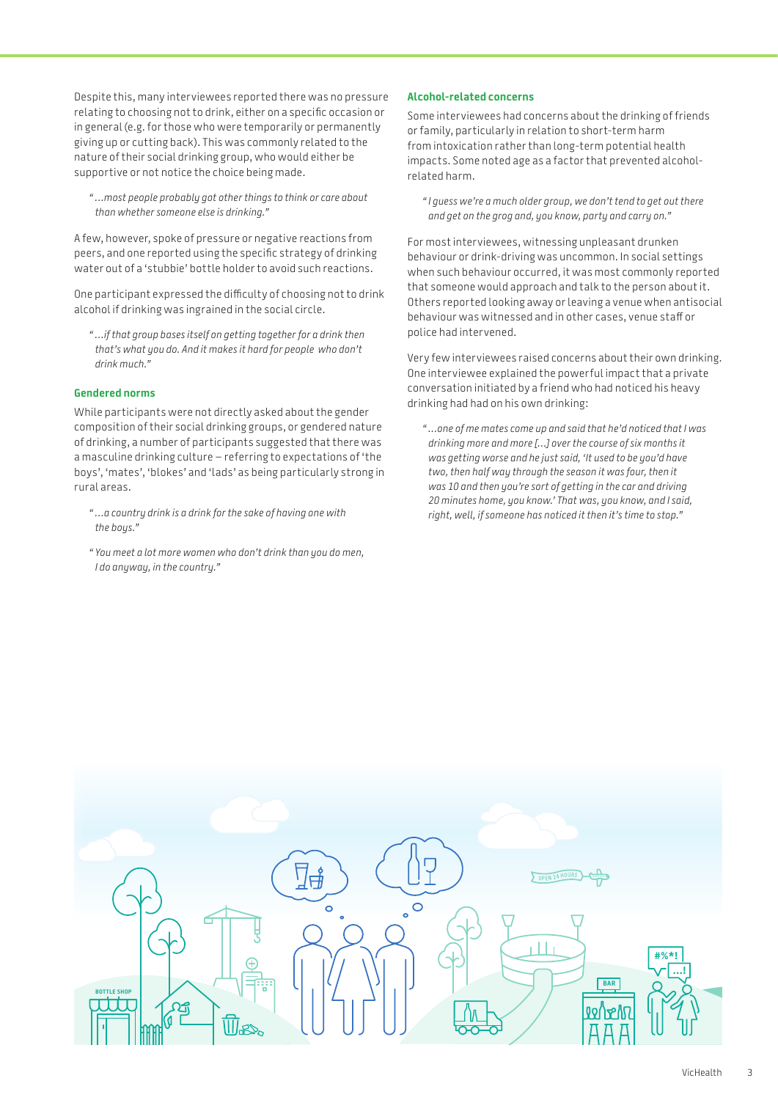Despite this, many interviewees reported there was no pressure relating to choosing not to drink, either on a specific occasion or in general (e.g. for those who were temporarily or permanently giving up or cutting back). This was commonly related to the nature of their social drinking group, who would either be supportive or not notice the choice being made.

*" …most people probably got other things to think or care about than whether someone else is drinking."*

A few, however, spoke of pressure or negative reactions from peers, and one reported using the specific strategy of drinking water out of a 'stubbie' bottle holder to avoid such reactions.

One participant expressed the difficulty of choosing not to drink alcohol if drinking was ingrained in the social circle.

*" …if that group bases itself on getting together for a drink then that's what you do. And it makes it hard for people who don't drink much."*

#### **Gendered norms**

While participants were not directly asked about the gender composition of their social drinking groups, or gendered nature of drinking, a number of participants suggested that there was a masculine drinking culture – referring to expectations of 'the boys', 'mates', 'blokes' and 'lads' as being particularly strong in rural areas.

- *" …a country drink is a drink for the sake of having one with the boys."*
- *" You meet a lot more women who don't drink than you do men, I do anyway, in the country."*

#### **Alcohol-related concerns**

Some interviewees had concerns about the drinking of friends or family, particularly in relation to short-term harm from intoxication rather than long-term potential health impacts. Some noted age as a factor that prevented alcoholrelated harm.

*" I guess we're a much older group, we don't tend to get out there and get on the grog and, you know, party and carry on."*

For most interviewees, witnessing unpleasant drunken behaviour or drink-driving was uncommon. In social settings when such behaviour occurred, it was most commonly reported that someone would approach and talk to the person about it. Others reported looking away or leaving a venue when antisocial behaviour was witnessed and in other cases, venue staff or police had intervened.

Very few interviewees raised concerns about their own drinking. One interviewee explained the powerful impact that a private conversation initiated by a friend who had noticed his heavy drinking had had on his own drinking:

*" …one of me mates come up and said that he'd noticed that I was drinking more and more […] over the course of six months it was getting worse and he just said, 'It used to be you'd have two, then half way through the season it was four, then it was 10 and then you're sort of getting in the car and driving 20 minutes home, you know.' That was, you know, and I said, right, well, if someone has noticed it then it's time to stop."*

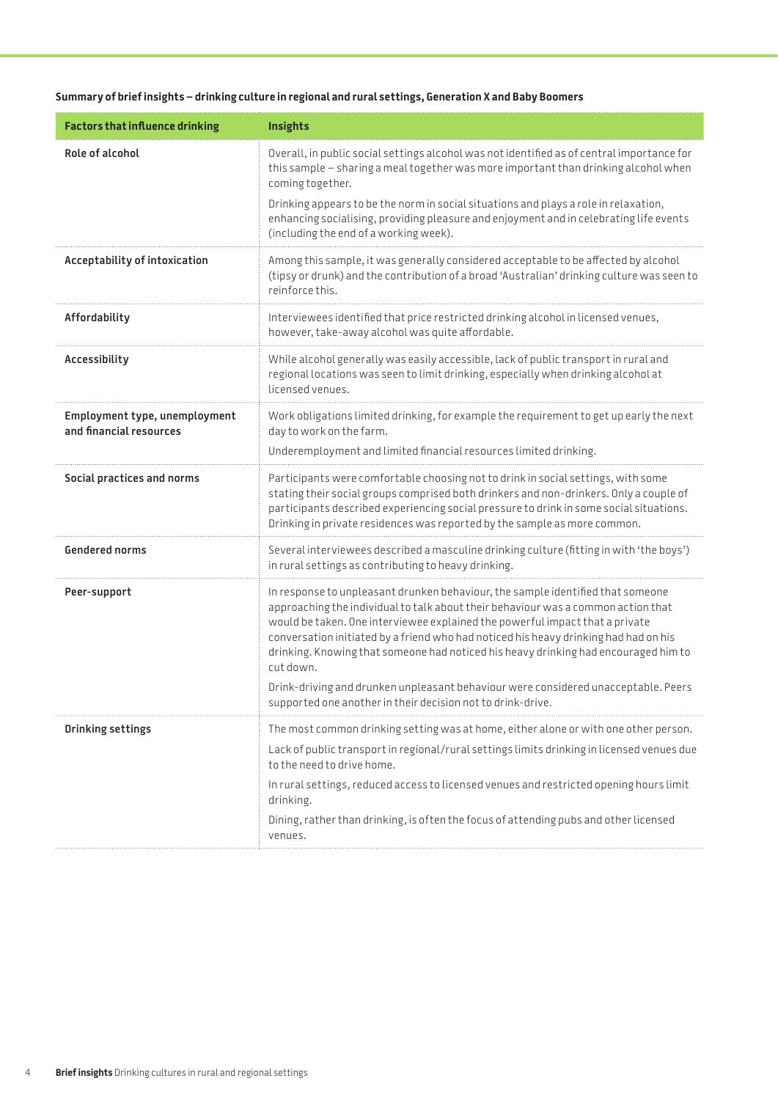### **Summary of brief insights – drinking culture in regional and rural settings, Generation X and Baby Boomers**

| <b>Factors that influence drinking</b>                   | Insights                                                                                                                                                                                                                                                                                                                                                                                                                                         |
|----------------------------------------------------------|--------------------------------------------------------------------------------------------------------------------------------------------------------------------------------------------------------------------------------------------------------------------------------------------------------------------------------------------------------------------------------------------------------------------------------------------------|
| Role of alcohol                                          | Overall, in public social settings alcohol was not identified as of central importance for<br>this sample - sharing a meal together was more important than drinking alcohol when<br>coming together.                                                                                                                                                                                                                                            |
|                                                          | Drinking appears to be the norm in social situations and plays a role in relaxation,<br>enhancing socialising, providing pleasure and enjoyment and in celebrating life events<br>(including the end of a working week).                                                                                                                                                                                                                         |
| Acceptability of intoxication                            | Among this sample, it was generally considered acceptable to be affected by alcohol<br>(tipsy or drunk) and the contribution of a broad 'Australian' drinking culture was seen to<br>reinforce this.                                                                                                                                                                                                                                             |
| Affordability                                            | Interviewees identified that price restricted drinking alcohol in licensed venues,<br>however, take-away alcohol was quite affordable.                                                                                                                                                                                                                                                                                                           |
| Accessibility                                            | While alcohol generally was easily accessible, lack of public transport in rural and<br>regional locations was seen to limit drinking, especially when drinking alcohol at<br>licensed venues.                                                                                                                                                                                                                                                   |
| Employment type, unemployment<br>and financial resources | Work obligations limited drinking, for example the requirement to get up early the next<br>day to work on the farm.                                                                                                                                                                                                                                                                                                                              |
|                                                          | Underemployment and limited financial resources limited drinking.                                                                                                                                                                                                                                                                                                                                                                                |
| Social practices and norms                               | Participants were comfortable choosing not to drink in social settings, with some<br>stating their social groups comprised both drinkers and non-drinkers. Only a couple of<br>participants described experiencing social pressure to drink in some social situations.<br>Drinking in private residences was reported by the sample as more common.                                                                                              |
| Gendered norms                                           | Several interviewees described a masculine drinking culture (fitting in with 'the boys')<br>in rural settings as contributing to heavy drinking.                                                                                                                                                                                                                                                                                                 |
| Peer-support                                             | In response to unpleasant drunken behaviour, the sample identified that someone<br>approaching the individual to talk about their behaviour was a common action that<br>would be taken. One interviewee explained the powerful impact that a private<br>conversation initiated by a friend who had noticed his heavy drinking had had on his<br>drinking. Knowing that someone had noticed his heavy drinking had encouraged him to<br>cut down. |
|                                                          | Drink-driving and drunken unpleasant behaviour were considered unacceptable. Peers<br>supported one another in their decision not to drink-drive.                                                                                                                                                                                                                                                                                                |
| Drinking settings                                        | The most common drinking setting was at home, either alone or with one other person.                                                                                                                                                                                                                                                                                                                                                             |
|                                                          | Lack of public transport in regional/rural settings limits drinking in licensed venues due<br>to the need to drive home.                                                                                                                                                                                                                                                                                                                         |
|                                                          | In rural settings, reduced access to licensed venues and restricted opening hours limit<br>drinking.                                                                                                                                                                                                                                                                                                                                             |
|                                                          | Dining, rather than drinking, is often the focus of attending pubs and other licensed<br>venues.                                                                                                                                                                                                                                                                                                                                                 |